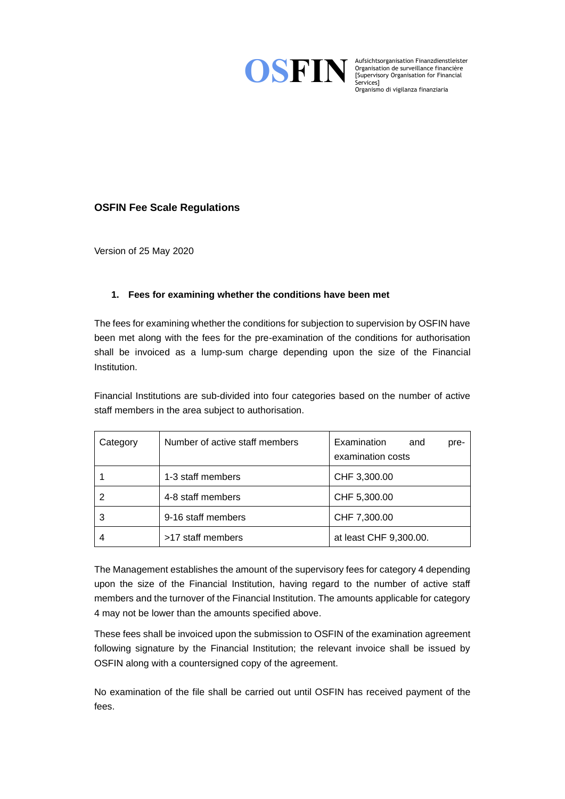

Organisation de surveillance financière [Supervisory Organisation for Financial Services] Organismo di vigilanza finanziaria

# **OSFIN Fee Scale Regulations**

Version of 25 May 2020

## **1. Fees for examining whether the conditions have been met**

The fees for examining whether the conditions for subjection to supervision by OSFIN have been met along with the fees for the pre-examination of the conditions for authorisation shall be invoiced as a lump-sum charge depending upon the size of the Financial Institution.

Financial Institutions are sub-divided into four categories based on the number of active staff members in the area subject to authorisation.

| Category | Number of active staff members | Examination<br>and<br>pre-<br>examination costs |
|----------|--------------------------------|-------------------------------------------------|
|          | 1-3 staff members              | CHF 3,300.00                                    |
|          | 4-8 staff members              | CHF 5,300.00                                    |
| 3        | 9-16 staff members             | CHF 7,300.00                                    |
|          | >17 staff members              | at least CHF 9,300.00.                          |

The Management establishes the amount of the supervisory fees for category 4 depending upon the size of the Financial Institution, having regard to the number of active staff members and the turnover of the Financial Institution. The amounts applicable for category 4 may not be lower than the amounts specified above.

These fees shall be invoiced upon the submission to OSFIN of the examination agreement following signature by the Financial Institution; the relevant invoice shall be issued by OSFIN along with a countersigned copy of the agreement.

No examination of the file shall be carried out until OSFIN has received payment of the fees.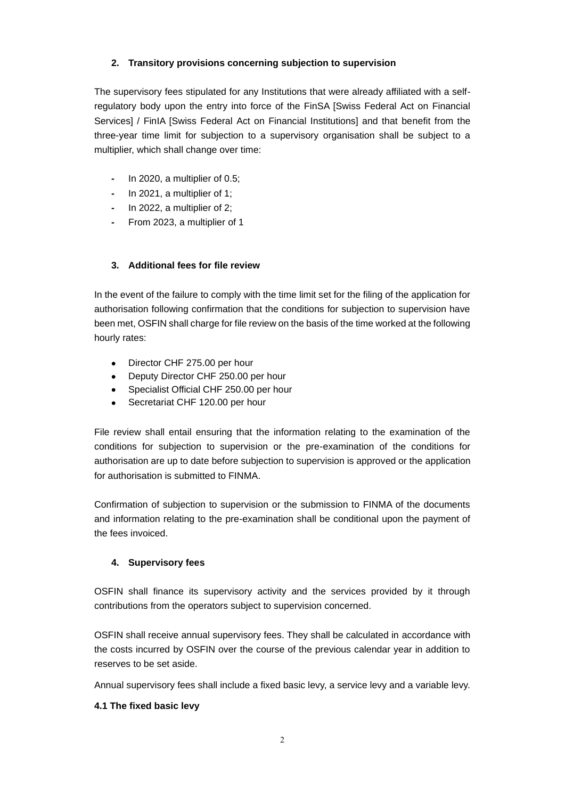### **2. Transitory provisions concerning subjection to supervision**

The supervisory fees stipulated for any Institutions that were already affiliated with a selfregulatory body upon the entry into force of the FinSA [Swiss Federal Act on Financial Services] / FinIA [Swiss Federal Act on Financial Institutions] and that benefit from the three-year time limit for subjection to a supervisory organisation shall be subject to a multiplier, which shall change over time:

- **-** In 2020, a multiplier of 0.5;
- **-** In 2021, a multiplier of 1;
- **-** In 2022, a multiplier of 2;
- **-** From 2023, a multiplier of 1

### **3. Additional fees for file review**

In the event of the failure to comply with the time limit set for the filing of the application for authorisation following confirmation that the conditions for subjection to supervision have been met, OSFIN shall charge for file review on the basis of the time worked at the following hourly rates:

- Director CHF 275.00 per hour
- Deputy Director CHF 250.00 per hour
- Specialist Official CHF 250.00 per hour
- Secretariat CHF 120.00 per hour

File review shall entail ensuring that the information relating to the examination of the conditions for subjection to supervision or the pre-examination of the conditions for authorisation are up to date before subjection to supervision is approved or the application for authorisation is submitted to FINMA.

Confirmation of subjection to supervision or the submission to FINMA of the documents and information relating to the pre-examination shall be conditional upon the payment of the fees invoiced.

#### **4. Supervisory fees**

OSFIN shall finance its supervisory activity and the services provided by it through contributions from the operators subject to supervision concerned.

OSFIN shall receive annual supervisory fees. They shall be calculated in accordance with the costs incurred by OSFIN over the course of the previous calendar year in addition to reserves to be set aside.

Annual supervisory fees shall include a fixed basic levy, a service levy and a variable levy.

#### **4.1 The fixed basic levy**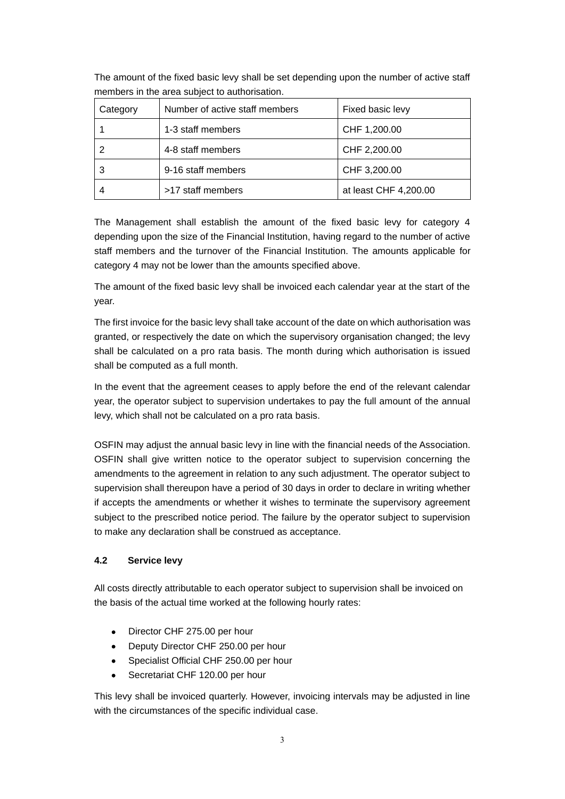The amount of the fixed basic levy shall be set depending upon the number of active staff members in the area subject to authorisation.

| Category | Number of active staff members | Fixed basic levy      |
|----------|--------------------------------|-----------------------|
|          | 1-3 staff members              | CHF 1,200.00          |
|          | 4-8 staff members              | CHF 2,200.00          |
| 3        | 9-16 staff members             | CHF 3,200.00          |
|          | >17 staff members              | at least CHF 4,200.00 |

The Management shall establish the amount of the fixed basic levy for category 4 depending upon the size of the Financial Institution, having regard to the number of active staff members and the turnover of the Financial Institution. The amounts applicable for category 4 may not be lower than the amounts specified above.

The amount of the fixed basic levy shall be invoiced each calendar year at the start of the year.

The first invoice for the basic levy shall take account of the date on which authorisation was granted, or respectively the date on which the supervisory organisation changed; the levy shall be calculated on a pro rata basis. The month during which authorisation is issued shall be computed as a full month.

In the event that the agreement ceases to apply before the end of the relevant calendar year, the operator subject to supervision undertakes to pay the full amount of the annual levy, which shall not be calculated on a pro rata basis.

OSFIN may adjust the annual basic levy in line with the financial needs of the Association. OSFIN shall give written notice to the operator subject to supervision concerning the amendments to the agreement in relation to any such adjustment. The operator subject to supervision shall thereupon have a period of 30 days in order to declare in writing whether if accepts the amendments or whether it wishes to terminate the supervisory agreement subject to the prescribed notice period. The failure by the operator subject to supervision to make any declaration shall be construed as acceptance.

### **4.2 Service levy**

All costs directly attributable to each operator subject to supervision shall be invoiced on the basis of the actual time worked at the following hourly rates:

- Director CHF 275.00 per hour
- Deputy Director CHF 250.00 per hour
- Specialist Official CHF 250.00 per hour
- Secretariat CHF 120.00 per hour

This levy shall be invoiced quarterly. However, invoicing intervals may be adjusted in line with the circumstances of the specific individual case.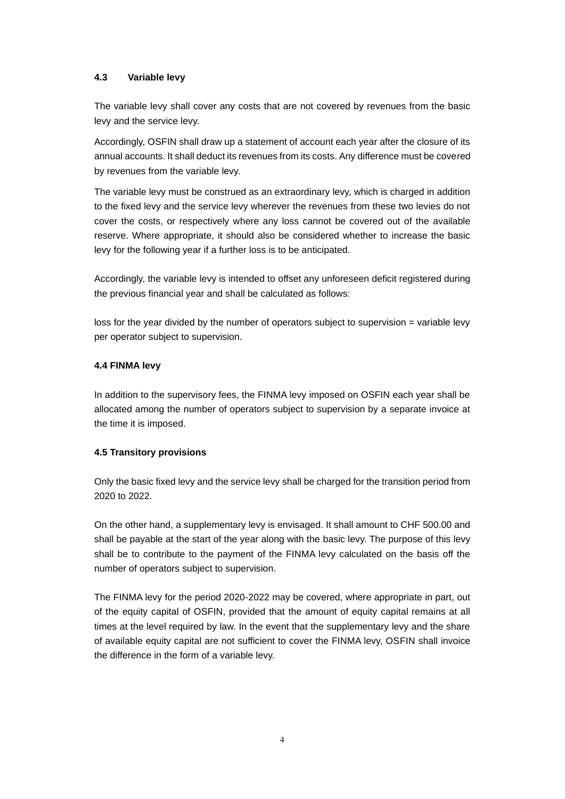### **4.3 Variable levy**

The variable levy shall cover any costs that are not covered by revenues from the basic levy and the service levy.

Accordingly, OSFIN shall draw up a statement of account each year after the closure of its annual accounts. It shall deduct its revenues from its costs. Any difference must be covered by revenues from the variable levy.

The variable levy must be construed as an extraordinary levy, which is charged in addition to the fixed levy and the service levy wherever the revenues from these two levies do not cover the costs, or respectively where any loss cannot be covered out of the available reserve. Where appropriate, it should also be considered whether to increase the basic levy for the following year if a further loss is to be anticipated.

Accordingly, the variable levy is intended to offset any unforeseen deficit registered during the previous financial year and shall be calculated as follows:

loss for the year divided by the number of operators subject to supervision = variable levy per operator subject to supervision.

### **4.4 FINMA levy**

In addition to the supervisory fees, the FINMA levy imposed on OSFIN each year shall be allocated among the number of operators subject to supervision by a separate invoice at the time it is imposed.

#### **4.5 Transitory provisions**

Only the basic fixed levy and the service levy shall be charged for the transition period from 2020 to 2022.

On the other hand, a supplementary levy is envisaged. It shall amount to CHF 500.00 and shall be payable at the start of the year along with the basic levy. The purpose of this levy shall be to contribute to the payment of the FINMA levy calculated on the basis off the number of operators subject to supervision.

The FINMA levy for the period 2020-2022 may be covered, where appropriate in part, out of the equity capital of OSFIN, provided that the amount of equity capital remains at all times at the level required by law. In the event that the supplementary levy and the share of available equity capital are not sufficient to cover the FINMA levy, OSFIN shall invoice the difference in the form of a variable levy.